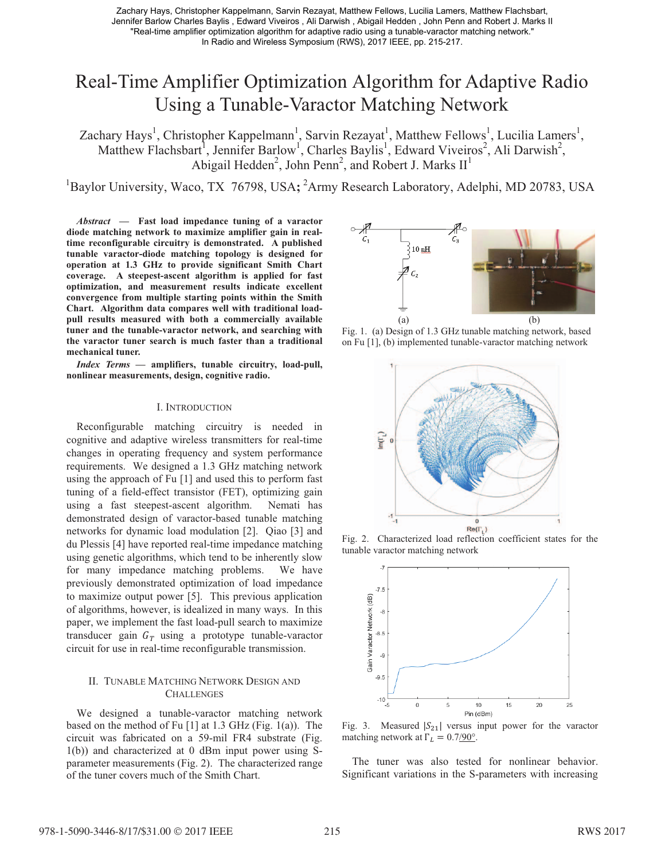Zachary Hays, Christopher Kappelmann, Sarvin Rezayat, Matthew Fellows, Lucilia Lamers, Matthew Flachsbart, Jennifer Barlow Charles Baylis , Edward Viveiros , Ali Darwish , Abigail Hedden , John Penn and Robert J. Marks II "Real-time amplifier optimization algorithm for adaptive radio using a tunable-varactor matching network." In Radio and Wireless Symposium (RWS), 2017 IEEE, pp. 215-217.

# Real-Time Amplifier Optimization Algorithm for Adaptive Radio Using a Tunable-Varactor Matching Network

Zachary Hays<sup>1</sup>, Christopher Kappelmann<sup>1</sup>, Sarvin Rezayat<sup>1</sup>, Matthew Fellows<sup>1</sup>, Lucilia Lamers<sup>1</sup>, Matthew Flachsbart<sup>1</sup>, Jennifer Barlow<sup>1</sup>, Charles Baylis<sup>1</sup>, Edward Viveiros<sup>2</sup>, Ali Darwish<sup>2</sup>, Abigail Hedden<sup>2</sup>, John Penn<sup>2</sup>, and Robert J. Marks  $II<sup>1</sup>$ 

<sup>1</sup>Baylor University, Waco, TX 76798, USA; <sup>2</sup>Army Research Laboratory, Adelphi, MD 20783, USA

*Abstract* **— Fast load impedance tuning of a varactor diode matching network to maximize amplifier gain in realtime reconfigurable circuitry is demonstrated. A published tunable varactor-diode matching topology is designed for operation at 1.3 GHz to provide significant Smith Chart coverage. A steepest-ascent algorithm is applied for fast optimization, and measurement results indicate excellent convergence from multiple starting points within the Smith Chart. Algorithm data compares well with traditional loadpull results measured with both a commercially available tuner and the tunable-varactor network, and searching with the varactor tuner search is much faster than a traditional mechanical tuner.** 

*Index Terms* **— amplifiers, tunable circuitry, load-pull, nonlinear measurements, design, cognitive radio.**

### I. INTRODUCTION

Reconfigurable matching circuitry is needed in cognitive and adaptive wireless transmitters for real-time changes in operating frequency and system performance requirements. We designed a 1.3 GHz matching network using the approach of Fu [1] and used this to perform fast tuning of a field-effect transistor (FET), optimizing gain using a fast steepest-ascent algorithm. Nemati has demonstrated design of varactor-based tunable matching networks for dynamic load modulation [2]. Qiao [3] and du Plessis [4] have reported real-time impedance matching using genetic algorithms, which tend to be inherently slow for many impedance matching problems. We have previously demonstrated optimization of load impedance to maximize output power [5]. This previous application of algorithms, however, is idealized in many ways. In this paper, we implement the fast load-pull search to maximize transducer gain  $G_T$  using a prototype tunable-varactor circuit for use in real-time reconfigurable transmission.

## II. TUNABLE MATCHING NETWORK DESIGN AND **CHALLENGES**

We designed a tunable-varactor matching network based on the method of Fu [1] at 1.3 GHz (Fig. 1(a)). The circuit was fabricated on a 59-mil FR4 substrate (Fig. 1(b)) and characterized at 0 dBm input power using Sparameter measurements (Fig. 2). The characterized range of the tuner covers much of the Smith Chart.



Fig. 1. (a) Design of 1.3 GHz tunable matching network, based on Fu [1], (b) implemented tunable-varactor matching network



Fig. 2. Characterized load reflection coefficient states for the tunable varactor matching network



Fig. 3. Measured  $|S_{21}|$  versus input power for the varactor matching network at  $\Gamma_L = 0.7/90^\circ$ .

The tuner was also tested for nonlinear behavior. Significant variations in the S-parameters with increasing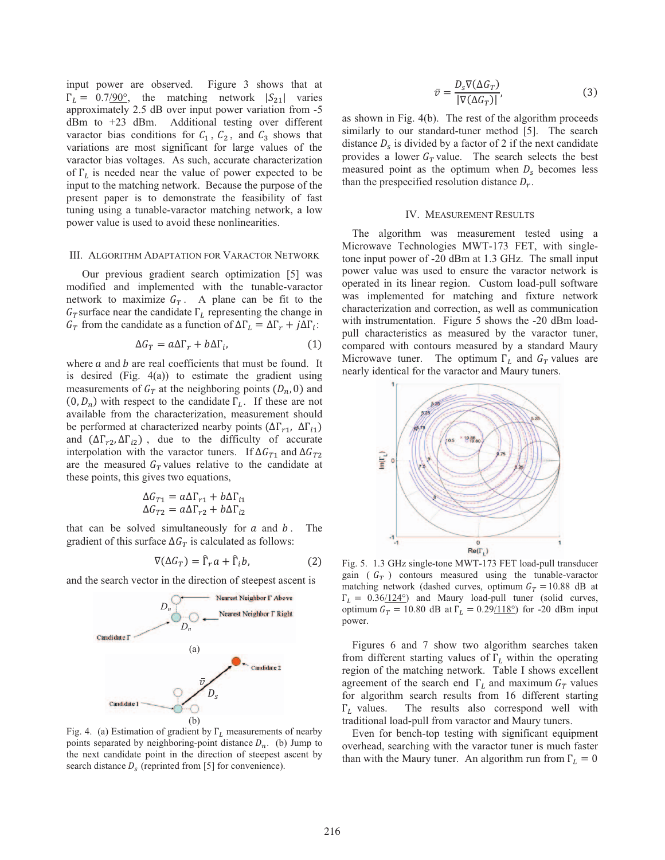input power are observed. Figure 3 shows that at  $\Gamma_L = 0.7/90^\circ$ , the matching network  $|S_{21}|$  varies approximately 2.5 dB over input power variation from -5 dBm to +23 dBm. Additional testing over different varactor bias conditions for  $C_1$ ,  $C_2$ , and  $C_3$  shows that variations are most significant for large values of the varactor bias voltages. As such, accurate characterization of  $\Gamma_L$  is needed near the value of power expected to be input to the matching network. Because the purpose of the present paper is to demonstrate the feasibility of fast tuning using a tunable-varactor matching network, a low power value is used to avoid these nonlinearities.

#### III. ALGORITHM ADAPTATION FOR VARACTOR NETWORK

Our previous gradient search optimization [5] was modified and implemented with the tunable-varactor network to maximize  $G_T$ . A plane can be fit to the  $G_T$ surface near the candidate  $\Gamma_L$  representing the change in  $G_T$  from the candidate as a function of  $\Delta\Gamma_L = \Delta\Gamma_r + j\Delta\Gamma_i$ :

$$
\Delta G_T = a \Delta \Gamma_r + b \Delta \Gamma_i,\tag{1}
$$

where  $a$  and  $b$  are real coefficients that must be found. It is desired (Fig.  $4(a)$ ) to estimate the gradient using measurements of  $G_T$  at the neighboring points  $(D_n, 0)$  and  $(0, D_n)$  with respect to the candidate  $\Gamma_L$ . If these are not available from the characterization, measurement should be performed at characterized nearby points ( $\Delta\Gamma_{r1}$ ,  $\Delta\Gamma_{i1}$ ) and  $(\Delta \Gamma_{r2}, \Delta \Gamma_{i2})$ , due to the difficulty of accurate interpolation with the varactor tuners. If  $\Delta G_{T1}$  and  $\Delta G_{T2}$ are the measured  $G_T$  values relative to the candidate at these points, this gives two equations,

$$
\Delta G_{T1} = a\Delta \Gamma_{r1} + b\Delta \Gamma_{i1}
$$

$$
\Delta G_{T2} = a\Delta \Gamma_{r2} + b\Delta \Gamma_{i2}
$$

that can be solved simultaneously for  $a$  and  $b$ . The gradient of this surface  $\Delta G_T$  is calculated as follows:

$$
\nabla(\Delta G_T) = \hat{\Gamma}_r a + \hat{\Gamma}_i b,\tag{2}
$$

and the search vector in the direction of steepest ascent is



Fig. 4. (a) Estimation of gradient by  $\Gamma$ <sub>L</sub> measurements of nearby points separated by neighboring-point distance  $D_n$ . (b) Jump to the next candidate point in the direction of steepest ascent by search distance  $D_s$  (reprinted from [5] for convenience).

$$
\bar{v} = \frac{D_s \nabla (\Delta G_T)}{|\nabla (\Delta G_T)|},\tag{3}
$$

as shown in Fig. 4(b). The rest of the algorithm proceeds similarly to our standard-tuner method [5]. The search distance  $D_s$  is divided by a factor of 2 if the next candidate provides a lower  $G_T$  value. The search selects the best measured point as the optimum when  $D_s$  becomes less than the prespecified resolution distance  $D_r$ .

#### IV. MEASUREMENT RESULTS

The algorithm was measurement tested using a Microwave Technologies MWT-173 FET, with singletone input power of -20 dBm at 1.3 GHz. The small input power value was used to ensure the varactor network is operated in its linear region. Custom load-pull software was implemented for matching and fixture network characterization and correction, as well as communication with instrumentation. Figure 5 shows the -20 dBm loadpull characteristics as measured by the varactor tuner, compared with contours measured by a standard Maury Microwave tuner. The optimum  $\Gamma_L$  and  $G_T$  values are nearly identical for the varactor and Maury tuners.



Fig. 5. 1.3 GHz single-tone MWT-173 FET load-pull transducer gain ( $G_T$ ) contours measured using the tunable-varactor matching network (dashed curves, optimum  $G_T = 10.88$  dB at  $\Gamma_L = 0.36/124^{\circ}$ ) and Maury load-pull tuner (solid curves, optimum  $G_T = 10.80$  dB at  $\Gamma_L = 0.29/118^\circ$  for -20 dBm input power.

Figures 6 and 7 show two algorithm searches taken from different starting values of  $\Gamma$ <sub>L</sub> within the operating region of the matching network. Table I shows excellent agreement of the search end  $\Gamma_L$  and maximum  $G_T$  values for algorithm search results from 16 different starting  $\Gamma_L$  values. The results also correspond well with traditional load-pull from varactor and Maury tuners.

Even for bench-top testing with significant equipment overhead, searching with the varactor tuner is much faster than with the Maury tuner. An algorithm run from  $\Gamma_L = 0$